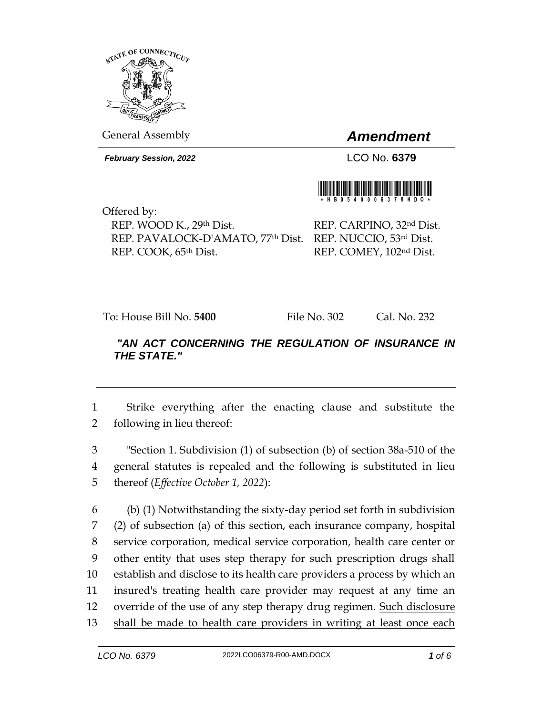

General Assembly *Amendment*

*February Session, 2022* LCO No. **6379**



Offered by: REP. WOOD K., 29th Dist. REP. PAVALOCK-D'AMATO, 77th Dist. REP. NUCCIO, 53rd Dist. REP. COOK, 65th Dist.

REP. CARPINO, 32nd Dist. REP. COMEY, 102nd Dist.

To: House Bill No. **5400** File No. 302 Cal. No. 232

## *"AN ACT CONCERNING THE REGULATION OF INSURANCE IN THE STATE."*

1 Strike everything after the enacting clause and substitute the 2 following in lieu thereof:

3 "Section 1. Subdivision (1) of subsection (b) of section 38a-510 of the 4 general statutes is repealed and the following is substituted in lieu 5 thereof (*Effective October 1, 2022*):

 (b) (1) Notwithstanding the sixty-day period set forth in subdivision (2) of subsection (a) of this section, each insurance company, hospital service corporation, medical service corporation, health care center or other entity that uses step therapy for such prescription drugs shall establish and disclose to its health care providers a process by which an insured's treating health care provider may request at any time an override of the use of any step therapy drug regimen. Such disclosure shall be made to health care providers in writing at least once each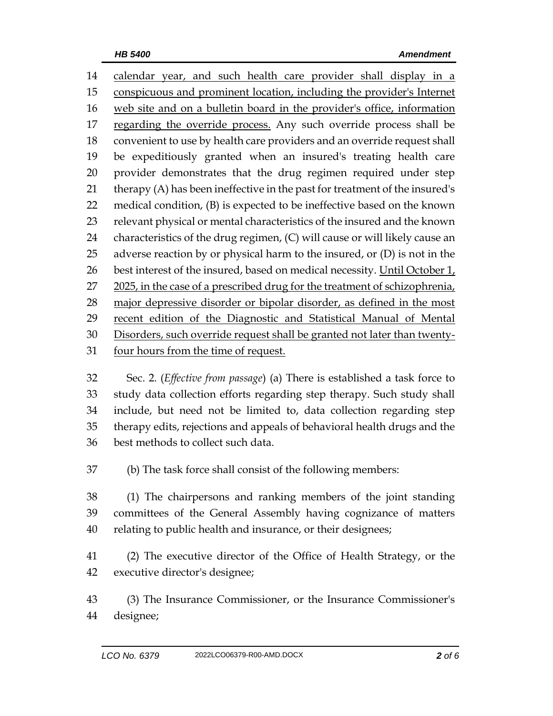calendar year, and such health care provider shall display in a conspicuous and prominent location, including the provider's Internet web site and on a bulletin board in the provider's office, information regarding the override process. Any such override process shall be convenient to use by health care providers and an override request shall be expeditiously granted when an insured's treating health care provider demonstrates that the drug regimen required under step therapy (A) has been ineffective in the past for treatment of the insured's medical condition, (B) is expected to be ineffective based on the known relevant physical or mental characteristics of the insured and the known characteristics of the drug regimen, (C) will cause or will likely cause an 25 adverse reaction by or physical harm to the insured, or  $(D)$  is not in the 26 best interest of the insured, based on medical necessity. Until October  $1_t$ , in the case of a prescribed drug for the treatment of schizophrenia, major depressive disorder or bipolar disorder, as defined in the most recent edition of the Diagnostic and Statistical Manual of Mental Disorders, such override request shall be granted not later than twenty-four hours from the time of request.

 Sec. 2. (*Effective from passage*) (a) There is established a task force to study data collection efforts regarding step therapy. Such study shall include, but need not be limited to, data collection regarding step therapy edits, rejections and appeals of behavioral health drugs and the best methods to collect such data.

(b) The task force shall consist of the following members:

 (1) The chairpersons and ranking members of the joint standing committees of the General Assembly having cognizance of matters relating to public health and insurance, or their designees;

 (2) The executive director of the Office of Health Strategy, or the executive director's designee;

 (3) The Insurance Commissioner, or the Insurance Commissioner's designee;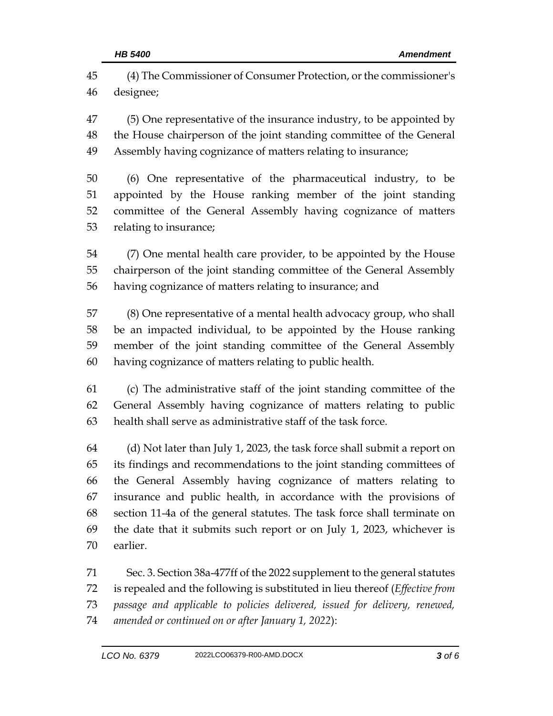(4) The Commissioner of Consumer Protection, or the commissioner's designee;

 (5) One representative of the insurance industry, to be appointed by the House chairperson of the joint standing committee of the General Assembly having cognizance of matters relating to insurance;

 (6) One representative of the pharmaceutical industry, to be appointed by the House ranking member of the joint standing committee of the General Assembly having cognizance of matters relating to insurance;

 (7) One mental health care provider, to be appointed by the House chairperson of the joint standing committee of the General Assembly having cognizance of matters relating to insurance; and

 (8) One representative of a mental health advocacy group, who shall be an impacted individual, to be appointed by the House ranking member of the joint standing committee of the General Assembly having cognizance of matters relating to public health.

 (c) The administrative staff of the joint standing committee of the General Assembly having cognizance of matters relating to public health shall serve as administrative staff of the task force.

 (d) Not later than July 1, 2023, the task force shall submit a report on its findings and recommendations to the joint standing committees of the General Assembly having cognizance of matters relating to insurance and public health, in accordance with the provisions of section 11-4a of the general statutes. The task force shall terminate on the date that it submits such report or on July 1, 2023, whichever is earlier.

 Sec. 3. Section 38a-477ff of the 2022 supplement to the general statutes is repealed and the following is substituted in lieu thereof (*Effective from passage and applicable to policies delivered, issued for delivery, renewed, amended or continued on or after January 1, 2022*):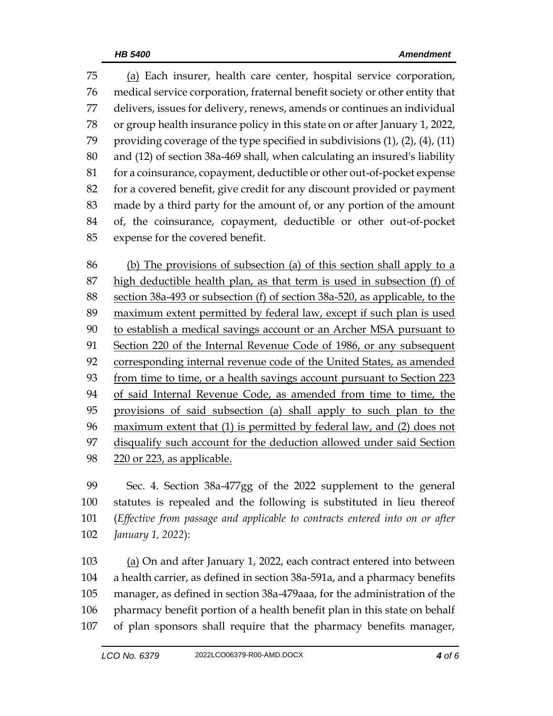(a) Each insurer, health care center, hospital service corporation, medical service corporation, fraternal benefit society or other entity that delivers, issues for delivery, renews, amends or continues an individual or group health insurance policy in this state on or after January 1, 2022, 79 providing coverage of the type specified in subdivisions  $(1)$ ,  $(2)$ ,  $(4)$ ,  $(11)$  and (12) of section 38a-469 shall, when calculating an insured's liability 81 for a coinsurance, copayment, deductible or other out-of-pocket expense for a covered benefit, give credit for any discount provided or payment made by a third party for the amount of, or any portion of the amount of, the coinsurance, copayment, deductible or other out-of-pocket expense for the covered benefit.

 (b) The provisions of subsection (a) of this section shall apply to a high deductible health plan, as that term is used in subsection (f) of section 38a-493 or subsection (f) of section 38a-520, as applicable, to the maximum extent permitted by federal law, except if such plan is used to establish a medical savings account or an Archer MSA pursuant to Section 220 of the Internal Revenue Code of 1986, or any subsequent 92 corresponding internal revenue code of the United States, as amended from time to time, or a health savings account pursuant to Section 223 94 of said Internal Revenue Code, as amended from time to time, the provisions of said subsection (a) shall apply to such plan to the maximum extent that (1) is permitted by federal law, and (2) does not disqualify such account for the deduction allowed under said Section 220 or 223, as applicable.

 Sec. 4. Section 38a-477gg of the 2022 supplement to the general statutes is repealed and the following is substituted in lieu thereof (*Effective from passage and applicable to contracts entered into on or after January 1, 2022*):

103 (a) On and after January 1, 2022, each contract entered into between a health carrier, as defined in section 38a-591a, and a pharmacy benefits manager, as defined in section 38a-479aaa, for the administration of the 106 pharmacy benefit portion of a health benefit plan in this state on behalf of plan sponsors shall require that the pharmacy benefits manager,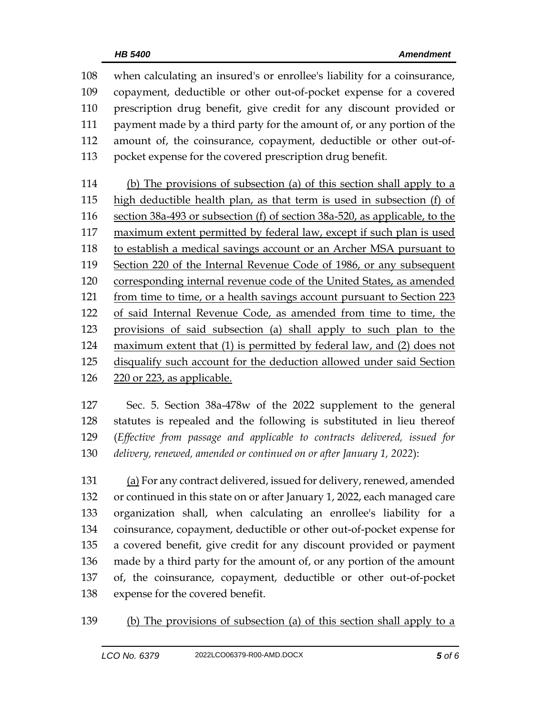when calculating an insured's or enrollee's liability for a coinsurance, copayment, deductible or other out-of-pocket expense for a covered prescription drug benefit, give credit for any discount provided or payment made by a third party for the amount of, or any portion of the amount of, the coinsurance, copayment, deductible or other out-of-pocket expense for the covered prescription drug benefit.

 (b) The provisions of subsection (a) of this section shall apply to a high deductible health plan, as that term is used in subsection (f) of section 38a-493 or subsection (f) of section 38a-520, as applicable, to the maximum extent permitted by federal law, except if such plan is used to establish a medical savings account or an Archer MSA pursuant to Section 220 of the Internal Revenue Code of 1986, or any subsequent corresponding internal revenue code of the United States, as amended from time to time, or a health savings account pursuant to Section 223 of said Internal Revenue Code, as amended from time to time, the provisions of said subsection (a) shall apply to such plan to the maximum extent that (1) is permitted by federal law, and (2) does not disqualify such account for the deduction allowed under said Section 220 or 223, as applicable.

 Sec. 5. Section 38a-478w of the 2022 supplement to the general statutes is repealed and the following is substituted in lieu thereof (*Effective from passage and applicable to contracts delivered, issued for delivery, renewed, amended or continued on or after January 1, 2022*):

 (a) For any contract delivered, issued for delivery, renewed, amended or continued in this state on or after January 1, 2022, each managed care organization shall, when calculating an enrollee's liability for a coinsurance, copayment, deductible or other out-of-pocket expense for a covered benefit, give credit for any discount provided or payment made by a third party for the amount of, or any portion of the amount of, the coinsurance, copayment, deductible or other out-of-pocket expense for the covered benefit.

(b) The provisions of subsection (a) of this section shall apply to a